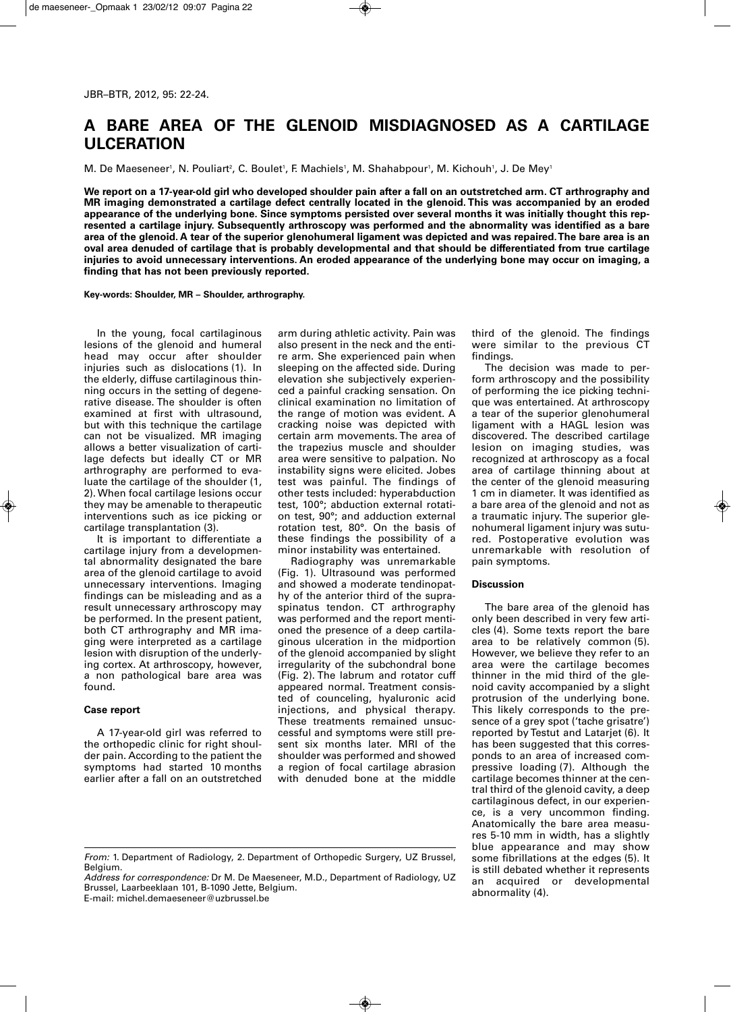## **A BARE AREA OF THE GLENOID MISDIAGNOSED AS A CARTILAGE ULCERATION**

M. De Maeseneer', N. Pouliart?, C. Boulet', F. Machiels', M. Shahabpour', M. Kichouh', J. De Mey'

**We report on a 17-year-old girl who developed shoulder pain after a fall on an outstretched arm. CT arthrography and MR imaging demonstrated a cartilage defect centrally located in the glenoid. This was accompanied by an eroded appearance of the underlying bone. Since symptoms persisted over several months it was initially thought this represented a cartilage injury. Subsequently arthroscopy was performed and the abnormality was identified as a bare area of the glenoid. A tear of the superior glenohumeral ligament was depicted and was repaired. The bare area is an oval area denuded of cartilage that is probably developmental and that should be differentiated from true cartilage injuries to avoid unnecessary interventions. An eroded appearance of the underlying bone may occur on imaging, a finding that has not been previously reported.**

**Key-words: Shoulder, MR – Shoulder, arthrography.**

In the young, focal cartilaginous lesions of the glenoid and humeral head may occur after shoulder injuries such as dislocations (1). In the elderly, diffuse cartilaginous thinning occurs in the setting of degenerative disease. The shoulder is often examined at first with ultrasound, but with this technique the cartilage can not be visualized. MR imaging allows a better visualization of cartilage defects but ideally CT or MR arthrography are performed to evaluate the cartilage of the shoulder (1, 2). When focal cartilage lesions occur they may be amenable to therapeutic interventions such as ice picking or cartilage transplantation (3).

It is important to differentiate a cartilage injury from a developmental abnormality designated the bare area of the glenoid cartilage to avoid unnecessary interventions. Imaging findings can be misleading and as a result unnecessary arthroscopy may be performed. In the present patient, both CT arthrography and MR imaging were interpreted as a cartilage lesion with disruption of the underlying cortex. At arthroscopy, however, a non pathological bare area was found.

## **Case report**

A 17-year-old girl was referred to the orthopedic clinic for right shoulder pain. According to the patient the symptoms had started 10 months earlier after a fall on an outstretched arm during athletic activity. Pain was also present in the neck and the entire arm. She experienced pain when sleeping on the affected side. During elevation she subjectively experienced a painful cracking sensation. On clinical examination no limitation of the range of motion was evident. A cracking noise was depicted with certain arm movements. The area of the trapezius muscle and shoulder area were sensitive to palpation. No instability signs were elicited. Jobes test was painful. The findings of other tests included: hyperabduction test, 100°; abduction external rotation test, 90°; and adduction external rotation test, 80°. On the basis of these findings the possibility of a minor instability was entertained.

Radiography was unremarkable (Fig. 1). Ultrasound was performed and showed a moderate tendinopathy of the anterior third of the supraspinatus tendon. CT arthrography was performed and the report mentioned the presence of a deep cartilaginous ulceration in the midportion of the glenoid accompanied by slight irregularity of the subchondral bone (Fig. 2). The labrum and rotator cuff appeared normal. Treatment consisted of counceling, hyaluronic acid injections, and physical therapy. These treatments remained unsuccessful and symptoms were still present six months later. MRI of the shoulder was performed and showed a region of focal cartilage abrasion with denuded bone at the middle third of the glenoid. The findings were similar to the previous CT findings.

The decision was made to perform arthroscopy and the possibility of performing the ice picking technique was entertained. At arthroscopy a tear of the superior glenohumeral ligament with a HAGL lesion was discovered. The described cartilage lesion on imaging studies, was recognized at arthroscopy as a focal area of cartilage thinning about at the center of the glenoid measuring 1 cm in diameter. It was identified as a bare area of the glenoid and not as a traumatic injury. The superior glenohumeral ligament injury was sutured. Postoperative evolution was unremarkable with resolution of pain symptoms.

## **Discussion**

The bare area of the glenoid has only been described in very few articles (4). Some texts report the bare area to be relatively common (5). However, we believe they refer to an area were the cartilage becomes thinner in the mid third of the glenoid cavity accompanied by a slight protrusion of the underlying bone. This likely corresponds to the presence of a grey spot ('tache grisatre') reported by Testut and Latarjet (6). It has been suggested that this corresponds to an area of increased compressive loading (7). Although the cartilage becomes thinner at the central third of the glenoid cavity, a deep cartilaginous defect, in our experience, is a very uncommon finding. Anatomically the bare area measures 5-10 mm in width, has a slightly blue appearance and may show some fibrillations at the edges (5). It is still debated whether it represents an acquired or developmental abnormality (4).

E-mail: michel.demaeseneer@uzbrussel.be

*From:* 1. Department of Radiology, 2. Department of Orthopedic Surgery, UZ Brussel, Belgium.

*Address for correspondence:* Dr M. De Maeseneer, M.D., Department of Radiology, UZ Brussel, Laarbeeklaan 101, B-1090 Jette, Belgium.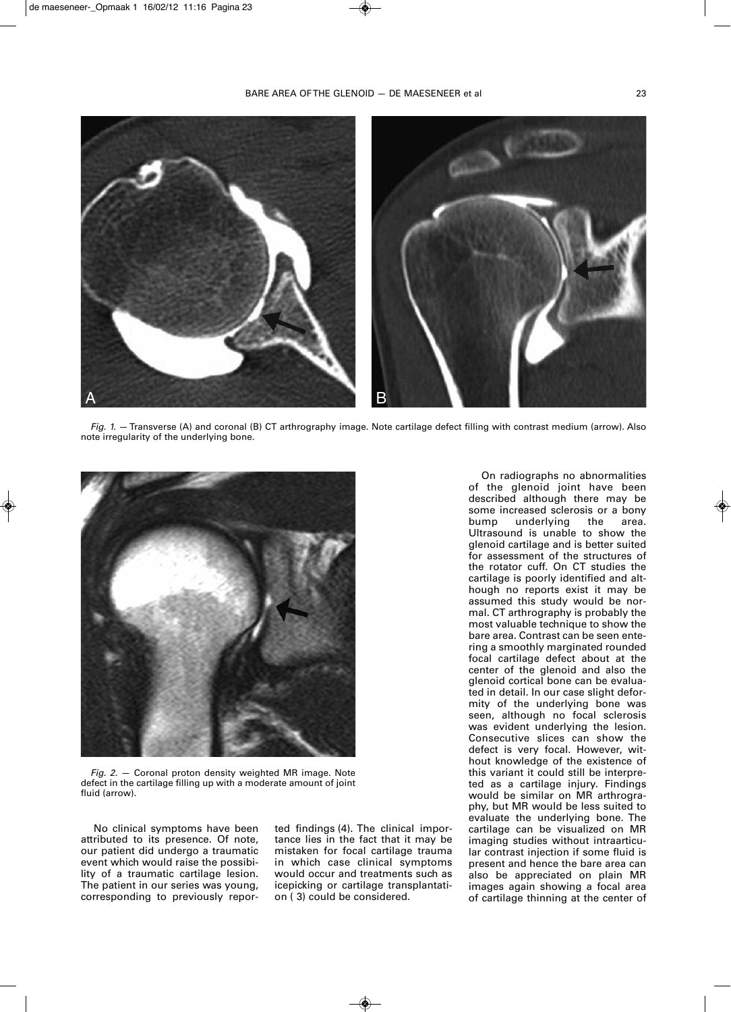

*Fig. 1.* —Transverse (A) and coronal (B) CT arthrography image. Note cartilage defect filling with contrast medium (arrow). Also note irregularity of the underlying bone.



*Fig. 2.* — Coronal proton density weighted MR image. Note defect in the cartilage filling up with a moderate amount of joint fluid (arrow).

No clinical symptoms have been attributed to its presence. Of note, our patient did undergo a traumatic event which would raise the possibility of a traumatic cartilage lesion. The patient in our series was young, corresponding to previously reported findings (4). The clinical importance lies in the fact that it may be mistaken for focal cartilage trauma in which case clinical symptoms would occur and treatments such as icepicking or cartilage transplantation ( 3) could be considered.

On radiographs no abnormalities of the glenoid joint have been described although there may be some increased sclerosis or a bony bump underlying the area. Ultrasound is unable to show the glenoid cartilage and is better suited for assessment of the structures of the rotator cuff. On CT studies the cartilage is poorly identified and although no reports exist it may be assumed this study would be normal. CT arthrography is probably the most valuable technique to show the bare area. Contrast can be seen entering a smoothly marginated rounded focal cartilage defect about at the center of the glenoid and also the glenoid cortical bone can be evaluated in detail. In our case slight deformity of the underlying bone was seen, although no focal sclerosis was evident underlying the lesion. Consecutive slices can show the defect is very focal. However, without knowledge of the existence of this variant it could still be interpreted as a cartilage injury. Findings would be similar on MR arthrography, but MR would be less suited to evaluate the underlying bone. The cartilage can be visualized on MR imaging studies without intraarticular contrast injection if some fluid is present and hence the bare area can also be appreciated on plain MR images again showing a focal area of cartilage thinning at the center of